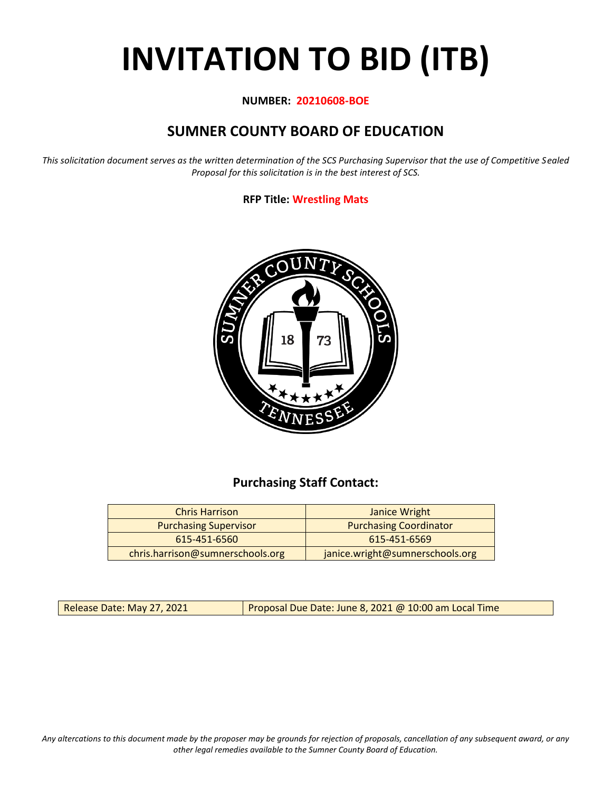# **INVITATION TO BID (ITB)**

#### **NUMBER: 20210608-BOE**

## **SUMNER COUNTY BOARD OF EDUCATION**

*This solicitation document serves as the written determination of the SCS Purchasing Supervisor that the use of Competitive Sealed Proposal for this solicitation is in the best interest of SCS.*

### **RFP Title: Wrestling Mats**



## **Purchasing Staff Contact:**

| <b>Chris Harrison</b>            | Janice Wright                   |  |  |  |
|----------------------------------|---------------------------------|--|--|--|
| <b>Purchasing Supervisor</b>     | <b>Purchasing Coordinator</b>   |  |  |  |
| 615-451-6560                     | 615-451-6569                    |  |  |  |
| chris.harrison@sumnerschools.org | janice.wright@sumnerschools.org |  |  |  |

Release Date: May 27, 2021 **Proposal Due Date: June 8, 2021 @ 10:00 am Local Time** 

*Any altercations to this document made by the proposer may be grounds for rejection of proposals, cancellation of any subsequent award, or any other legal remedies available to the Sumner County Board of Education.*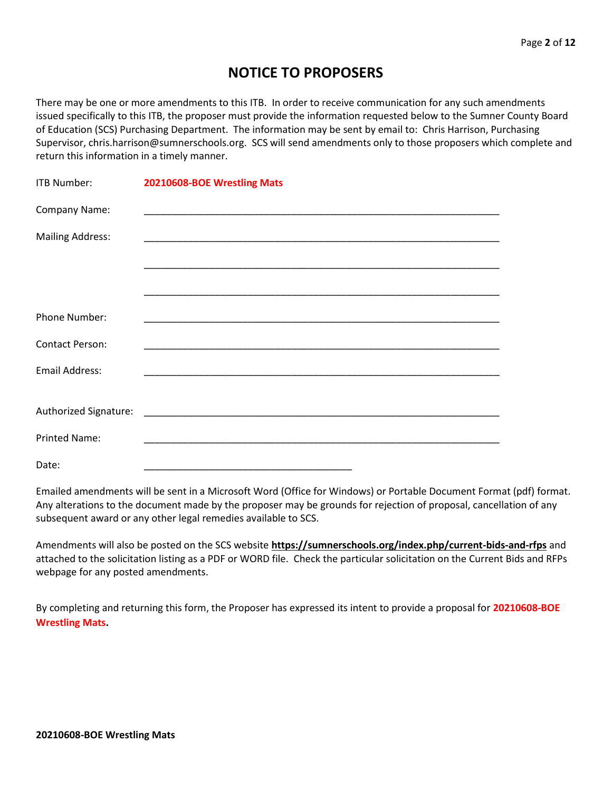## **NOTICE TO PROPOSERS**

There may be one or more amendments to this ITB. In order to receive communication for any such amendments issued specifically to this ITB, the proposer must provide the information requested below to the Sumner County Board of Education (SCS) Purchasing Department. The information may be sent by email to: Chris Harrison, Purchasing Supervisor, chris.harrison@sumnerschools.org. SCS will send amendments only to those proposers which complete and return this information in a timely manner.

| <b>ITB Number:</b>      | 20210608-BOE Wrestling Mats                                                                                           |
|-------------------------|-----------------------------------------------------------------------------------------------------------------------|
| Company Name:           |                                                                                                                       |
| <b>Mailing Address:</b> |                                                                                                                       |
|                         |                                                                                                                       |
|                         |                                                                                                                       |
| Phone Number:           |                                                                                                                       |
| <b>Contact Person:</b>  |                                                                                                                       |
| <b>Email Address:</b>   |                                                                                                                       |
|                         |                                                                                                                       |
|                         |                                                                                                                       |
| <b>Printed Name:</b>    | <u> 1989 - Johann Harry Harry Harry Harry Harry Harry Harry Harry Harry Harry Harry Harry Harry Harry Harry Harry</u> |
| Date:                   |                                                                                                                       |

Emailed amendments will be sent in a Microsoft Word (Office for Windows) or Portable Document Format (pdf) format. Any alterations to the document made by the proposer may be grounds for rejection of proposal, cancellation of any subsequent award or any other legal remedies available to SCS.

Amendments will also be posted on the SCS website **https://sumnerschools.org/index.php/current-bids-and-rfps** and attached to the solicitation listing as a PDF or WORD file. Check the particular solicitation on the Current Bids and RFPs webpage for any posted amendments.

By completing and returning this form, the Proposer has expressed its intent to provide a proposal for **20210608-BOE Wrestling Mats.**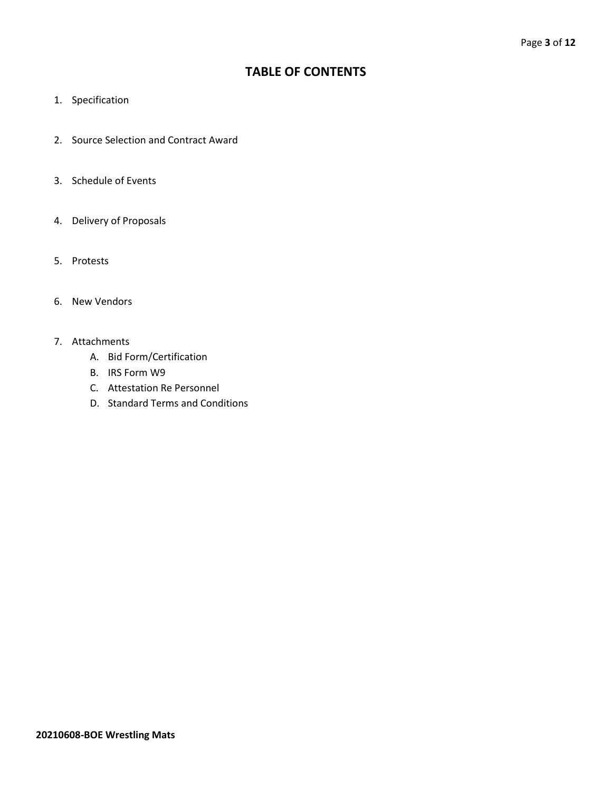## **TABLE OF CONTENTS**

- 1. Specification
- 2. Source Selection and Contract Award
- 3. Schedule of Events
- 4. Delivery of Proposals
- 5. Protests
- 6. New Vendors
- 7. Attachments
	- A. Bid Form/Certification
	- B. IRS Form W9
	- C. Attestation Re Personnel
	- D. Standard Terms and Conditions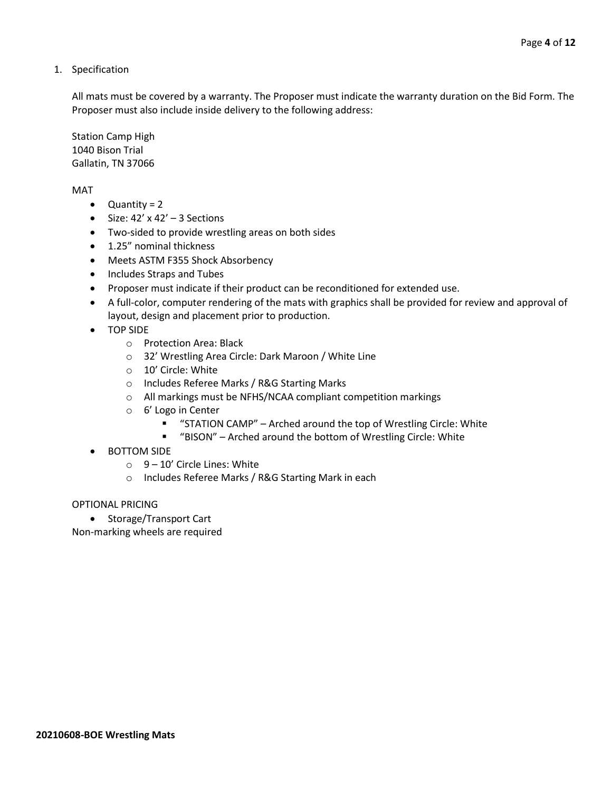1. Specification

All mats must be covered by a warranty. The Proposer must indicate the warranty duration on the Bid Form. The Proposer must also include inside delivery to the following address:

Station Camp High 1040 Bison Trial Gallatin, TN 37066

MAT

- Quantity = 2
- Size:  $42' \times 42' 3$  Sections
- Two-sided to provide wrestling areas on both sides
- 1.25" nominal thickness
- Meets ASTM F355 Shock Absorbency
- Includes Straps and Tubes
- Proposer must indicate if their product can be reconditioned for extended use.
- A full-color, computer rendering of the mats with graphics shall be provided for review and approval of layout, design and placement prior to production.
- TOP SIDE
	- o Protection Area: Black
	- o 32' Wrestling Area Circle: Dark Maroon / White Line
	- o 10' Circle: White
	- o Includes Referee Marks / R&G Starting Marks
	- o All markings must be NFHS/NCAA compliant competition markings
	- o 6' Logo in Center
		- "STATION CAMP" Arched around the top of Wrestling Circle: White
		- "BISON" Arched around the bottom of Wrestling Circle: White
- BOTTOM SIDE
	- $\circ$  9 10' Circle Lines: White
	- o Includes Referee Marks / R&G Starting Mark in each

#### OPTIONAL PRICING

• Storage/Transport Cart

Non-marking wheels are required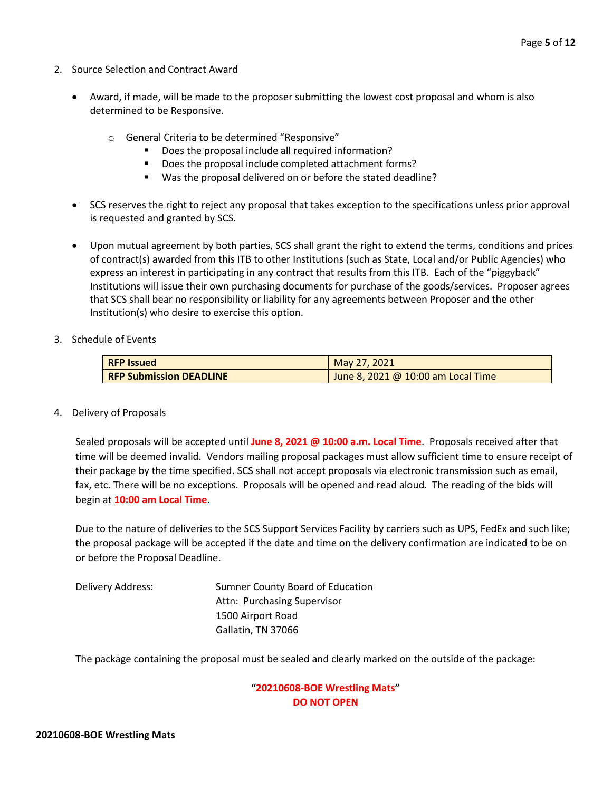- 2. Source Selection and Contract Award
	- Award, if made, will be made to the proposer submitting the lowest cost proposal and whom is also determined to be Responsive.
		- o General Criteria to be determined "Responsive"
			- Does the proposal include all required information?
			- Does the proposal include completed attachment forms?
			- Was the proposal delivered on or before the stated deadline?
	- SCS reserves the right to reject any proposal that takes exception to the specifications unless prior approval is requested and granted by SCS.
	- Upon mutual agreement by both parties, SCS shall grant the right to extend the terms, conditions and prices of contract(s) awarded from this ITB to other Institutions (such as State, Local and/or Public Agencies) who express an interest in participating in any contract that results from this ITB. Each of the "piggyback" Institutions will issue their own purchasing documents for purchase of the goods/services. Proposer agrees that SCS shall bear no responsibility or liability for any agreements between Proposer and the other Institution(s) who desire to exercise this option.
- 3. Schedule of Events

| <b>RFP Issued</b>              | May 27, 2021                       |  |  |  |  |  |  |
|--------------------------------|------------------------------------|--|--|--|--|--|--|
| <b>RFP Submission DEADLINE</b> | June 8, 2021 @ 10:00 am Local Time |  |  |  |  |  |  |

4. Delivery of Proposals

Sealed proposals will be accepted until **June 8, 2021 @ 10:00 a.m. Local Time**. Proposals received after that time will be deemed invalid. Vendors mailing proposal packages must allow sufficient time to ensure receipt of their package by the time specified. SCS shall not accept proposals via electronic transmission such as email, fax, etc. There will be no exceptions. Proposals will be opened and read aloud. The reading of the bids will begin at **10:00 am Local Time**.

Due to the nature of deliveries to the SCS Support Services Facility by carriers such as UPS, FedEx and such like; the proposal package will be accepted if the date and time on the delivery confirmation are indicated to be on or before the Proposal Deadline.

Delivery Address: Sumner County Board of Education Attn: Purchasing Supervisor 1500 Airport Road Gallatin, TN 37066

The package containing the proposal must be sealed and clearly marked on the outside of the package:

#### **"20210608-BOE Wrestling Mats" DO NOT OPEN**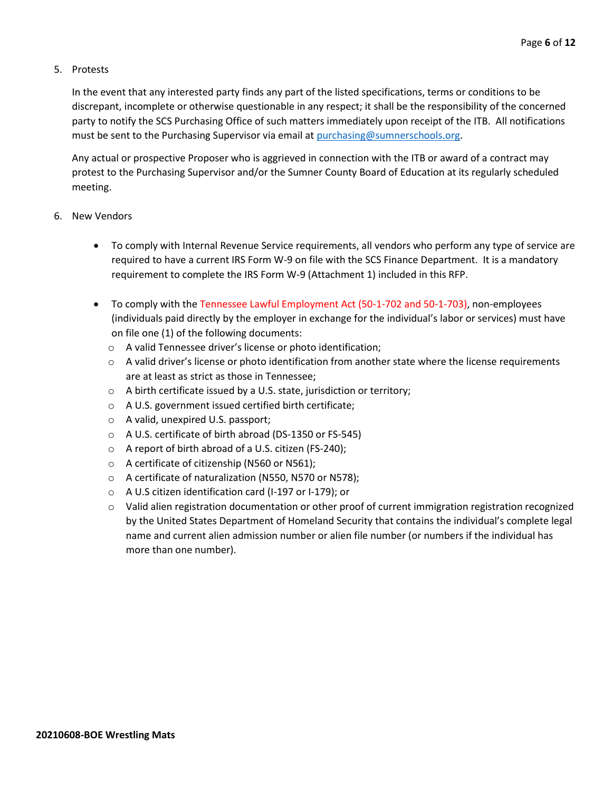#### 5. Protests

In the event that any interested party finds any part of the listed specifications, terms or conditions to be discrepant, incomplete or otherwise questionable in any respect; it shall be the responsibility of the concerned party to notify the SCS Purchasing Office of such matters immediately upon receipt of the ITB. All notifications must be sent to the Purchasing Supervisor via email at [purchasing@sumnerschools.org.](mailto:purchasing@sumnerschools.org)

Any actual or prospective Proposer who is aggrieved in connection with the ITB or award of a contract may protest to the Purchasing Supervisor and/or the Sumner County Board of Education at its regularly scheduled meeting.

#### 6. New Vendors

- To comply with Internal Revenue Service requirements, all vendors who perform any type of service are required to have a current IRS Form W-9 on file with the SCS Finance Department. It is a mandatory requirement to complete the IRS Form W-9 (Attachment 1) included in this RFP.
- To comply with the Tennessee Lawful Employment Act (50-1-702 and 50-1-703), non-employees (individuals paid directly by the employer in exchange for the individual's labor or services) must have on file one (1) of the following documents:
	- o A valid Tennessee driver's license or photo identification;
	- $\circ$  A valid driver's license or photo identification from another state where the license requirements are at least as strict as those in Tennessee;
	- o A birth certificate issued by a U.S. state, jurisdiction or territory;
	- o A U.S. government issued certified birth certificate;
	- o A valid, unexpired U.S. passport;
	- o A U.S. certificate of birth abroad (DS-1350 or FS-545)
	- o A report of birth abroad of a U.S. citizen (FS-240);
	- o A certificate of citizenship (N560 or N561);
	- o A certificate of naturalization (N550, N570 or N578);
	- o A U.S citizen identification card (I-197 or I-179); or
	- $\circ$  Valid alien registration documentation or other proof of current immigration registration recognized by the United States Department of Homeland Security that contains the individual's complete legal name and current alien admission number or alien file number (or numbers if the individual has more than one number).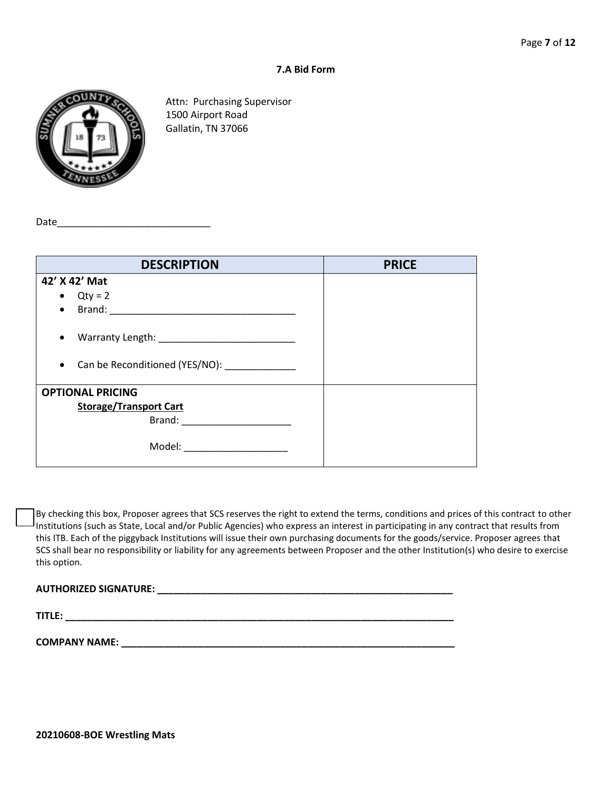#### **7.A Bid Form**



Attn: Purchasing Supervisor 1500 Airport Road Gallatin, TN 37066

Date $\rule{1em}{0.15mm}$ 

| <b>DESCRIPTION</b>                                        | <b>PRICE</b> |
|-----------------------------------------------------------|--------------|
| 42' X 42' Mat                                             |              |
| $Qty = 2$<br>$\bullet$                                    |              |
| Brand:<br>$\bullet$                                       |              |
| $\bullet$                                                 |              |
| Can be Reconditioned (YES/NO): _____________<br>$\bullet$ |              |
| <b>OPTIONAL PRICING</b>                                   |              |
| <b>Storage/Transport Cart</b>                             |              |
| Brand:                                                    |              |
| Model: _________________                                  |              |

By checking this box, Proposer agrees that SCS reserves the right to extend the terms, conditions and prices of this contract to other Institutions (such as State, Local and/or Public Agencies) who express an interest in participating in any contract that results from this ITB. Each of the piggyback Institutions will issue their own purchasing documents for the goods/service. Proposer agrees that SCS shall bear no responsibility or liability for any agreements between Proposer and the other Institution(s) who desire to exercise this option.

#### **AUTHORIZED SIGNATURE: \_\_\_\_\_\_\_\_\_\_\_\_\_\_\_\_\_\_\_\_\_\_\_\_\_\_\_\_\_\_\_\_\_\_\_\_\_\_\_\_\_\_\_\_\_\_\_\_\_\_\_\_\_\_**

**TITLE: \_\_\_\_\_\_\_\_\_\_\_\_\_\_\_\_\_\_\_\_\_\_\_\_\_\_\_\_\_\_\_\_\_\_\_\_\_\_\_\_\_\_\_\_\_\_\_\_\_\_\_\_\_\_\_\_\_\_\_\_\_\_\_\_\_\_\_\_\_\_\_**

**COMPANY NAME: \_\_\_\_\_\_\_\_\_\_\_\_\_\_\_\_\_\_\_\_\_\_\_\_\_\_\_\_\_\_\_\_\_\_\_\_\_\_\_\_\_\_\_\_\_\_\_\_\_\_\_\_\_\_\_\_\_\_\_\_\_**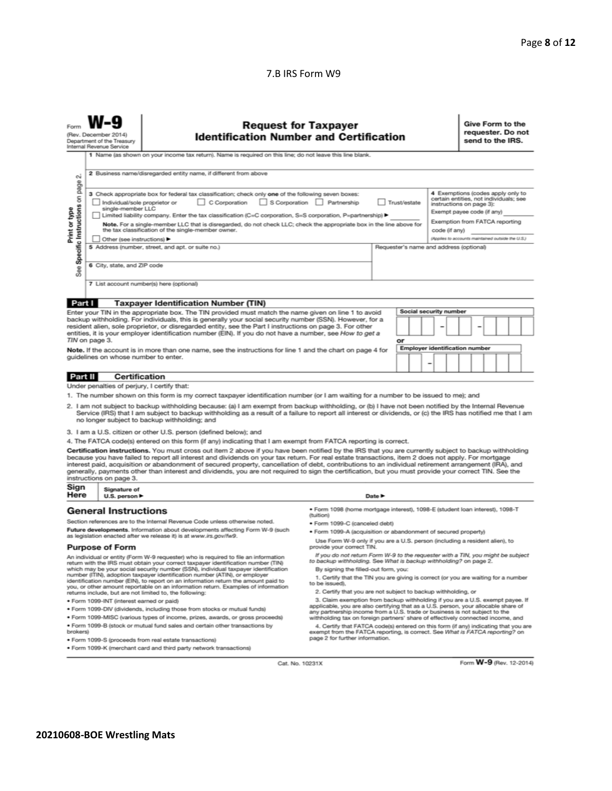#### 7.B IRS Form W9

|                                                                                                                                                                                                                                                                                                                                                                                                                                                                                                                                                                                    | <b>Request for Taxpayer</b><br>(Rev. December 2014)<br><b>Identification Number and Certification</b><br>Department of the Treasury<br>Internal Revenue Service<br>1 Name (as shown on your income tax return). Name is required on this line; do not leave this line blank.                                                                                                                                                                                                                                                                                                                                                                                                                                                                                                                                                                                                                                                                                                                                                                                                                |                                                                                                                                                                                                                                                                                                                                                                                                                                                                                                                                                                                                                               |                                                                                                                                                                                                        |                            |  |  |  |                        | Give Form to the<br>requester. Do not<br>send to the IRS. |  |  |  |  |
|------------------------------------------------------------------------------------------------------------------------------------------------------------------------------------------------------------------------------------------------------------------------------------------------------------------------------------------------------------------------------------------------------------------------------------------------------------------------------------------------------------------------------------------------------------------------------------|---------------------------------------------------------------------------------------------------------------------------------------------------------------------------------------------------------------------------------------------------------------------------------------------------------------------------------------------------------------------------------------------------------------------------------------------------------------------------------------------------------------------------------------------------------------------------------------------------------------------------------------------------------------------------------------------------------------------------------------------------------------------------------------------------------------------------------------------------------------------------------------------------------------------------------------------------------------------------------------------------------------------------------------------------------------------------------------------|-------------------------------------------------------------------------------------------------------------------------------------------------------------------------------------------------------------------------------------------------------------------------------------------------------------------------------------------------------------------------------------------------------------------------------------------------------------------------------------------------------------------------------------------------------------------------------------------------------------------------------|--------------------------------------------------------------------------------------------------------------------------------------------------------------------------------------------------------|----------------------------|--|--|--|------------------------|-----------------------------------------------------------|--|--|--|--|
| Print or type<br>See                                                                                                                                                                                                                                                                                                                                                                                                                                                                                                                                                               | 2 Business name/disregarded entity name, if different from above<br>σû<br>page<br>4 Exemptions (codes apply only to<br>3 Check appropriate box for federal tax classification; check only one of the following seven boxes:<br>Specific Instructions on<br>certain entities, not individuals; see<br>C Corporation<br>S Corporation Partnership<br>Individual/sole proprietor or<br>Trust/estate<br>instructions on page 3):<br>single-member LLC<br>Exempt payee code (if any)<br>Limited liability company. Enter the tax classification (C=C corporation, S=S corporation, P=partnership) ▶<br>Exemption from FATCA reporting<br>Note. For a single-member LLC that is disregarded, do not check LLC; check the appropriate box in the line above for<br>the tax classification of the single-member owner.<br>code (if anv)<br>(Applies to accounts maintained outside the U.S.)<br>Other (see instructions)<br>5 Address (number, street, and apt. or suite no.)<br>Requester's name and address (optional)<br>6 City, state, and ZIP code<br>7 List account number(s) here (optional) |                                                                                                                                                                                                                                                                                                                                                                                                                                                                                                                                                                                                                               |                                                                                                                                                                                                        |                            |  |  |  |                        |                                                           |  |  |  |  |
| Part I                                                                                                                                                                                                                                                                                                                                                                                                                                                                                                                                                                             |                                                                                                                                                                                                                                                                                                                                                                                                                                                                                                                                                                                                                                                                                                                                                                                                                                                                                                                                                                                                                                                                                             | <b>Taxpayer Identification Number (TIN)</b>                                                                                                                                                                                                                                                                                                                                                                                                                                                                                                                                                                                   |                                                                                                                                                                                                        |                            |  |  |  |                        |                                                           |  |  |  |  |
|                                                                                                                                                                                                                                                                                                                                                                                                                                                                                                                                                                                    |                                                                                                                                                                                                                                                                                                                                                                                                                                                                                                                                                                                                                                                                                                                                                                                                                                                                                                                                                                                                                                                                                             |                                                                                                                                                                                                                                                                                                                                                                                                                                                                                                                                                                                                                               |                                                                                                                                                                                                        |                            |  |  |  | Social security number |                                                           |  |  |  |  |
| Enter your TIN in the appropriate box. The TIN provided must match the name given on line 1 to avoid<br>backup withholding. For individuals, this is generally your social security number (SSN). However, for a<br>resident alien, sole proprietor, or disregarded entity, see the Part I instructions on page 3. For other<br>entities, it is your employer identification number (EIN). If you do not have a number, see How to get a<br>TIN on page 3.<br>or                                                                                                                   |                                                                                                                                                                                                                                                                                                                                                                                                                                                                                                                                                                                                                                                                                                                                                                                                                                                                                                                                                                                                                                                                                             |                                                                                                                                                                                                                                                                                                                                                                                                                                                                                                                                                                                                                               |                                                                                                                                                                                                        |                            |  |  |  |                        |                                                           |  |  |  |  |
| <b>Employer identification number</b><br>Note. If the account is in more than one name, see the instructions for line 1 and the chart on page 4 for<br>guidelines on whose number to enter.                                                                                                                                                                                                                                                                                                                                                                                        |                                                                                                                                                                                                                                                                                                                                                                                                                                                                                                                                                                                                                                                                                                                                                                                                                                                                                                                                                                                                                                                                                             |                                                                                                                                                                                                                                                                                                                                                                                                                                                                                                                                                                                                                               |                                                                                                                                                                                                        |                            |  |  |  |                        |                                                           |  |  |  |  |
| <b>Part II</b>                                                                                                                                                                                                                                                                                                                                                                                                                                                                                                                                                                     |                                                                                                                                                                                                                                                                                                                                                                                                                                                                                                                                                                                                                                                                                                                                                                                                                                                                                                                                                                                                                                                                                             | <b>Certification</b>                                                                                                                                                                                                                                                                                                                                                                                                                                                                                                                                                                                                          |                                                                                                                                                                                                        |                            |  |  |  |                        |                                                           |  |  |  |  |
|                                                                                                                                                                                                                                                                                                                                                                                                                                                                                                                                                                                    | Under penalties of perjury, I certify that:                                                                                                                                                                                                                                                                                                                                                                                                                                                                                                                                                                                                                                                                                                                                                                                                                                                                                                                                                                                                                                                 | 1. The number shown on this form is my correct taxpayer identification number (or I am waiting for a number to be issued to me); and<br>2. I am not subject to backup withholding because: (a) I am exempt from backup withholding, or (b) I have not been notified by the Internal Revenue<br>Service (IRS) that I am subject to backup withholding as a result of a failure to report all interest or dividends, or (c) the IRS has notified me that I am<br>no longer subject to backup withholding; and<br>3. I am a U.S. citizen or other U.S. person (defined below); and                                               |                                                                                                                                                                                                        |                            |  |  |  |                        |                                                           |  |  |  |  |
|                                                                                                                                                                                                                                                                                                                                                                                                                                                                                                                                                                                    |                                                                                                                                                                                                                                                                                                                                                                                                                                                                                                                                                                                                                                                                                                                                                                                                                                                                                                                                                                                                                                                                                             | 4. The FATCA code(s) entered on this form (if any) indicating that I am exempt from FATCA reporting is correct.                                                                                                                                                                                                                                                                                                                                                                                                                                                                                                               |                                                                                                                                                                                                        |                            |  |  |  |                        |                                                           |  |  |  |  |
|                                                                                                                                                                                                                                                                                                                                                                                                                                                                                                                                                                                    | instructions on page 3.                                                                                                                                                                                                                                                                                                                                                                                                                                                                                                                                                                                                                                                                                                                                                                                                                                                                                                                                                                                                                                                                     | Certification instructions. You must cross out item 2 above if you have been notified by the IRS that you are currently subject to backup withholding<br>because you have failed to report all interest and dividends on your tax return. For real estate transactions, item 2 does not apply. For mortgage<br>interest paid, acquisition or abandonment of secured property, cancellation of debt, contributions to an individual retirement arrangement (IRA), and<br>generally, payments other than interest and dividends, you are not required to sign the certification, but you must provide your correct TIN. See the |                                                                                                                                                                                                        |                            |  |  |  |                        |                                                           |  |  |  |  |
| Sign<br>Here                                                                                                                                                                                                                                                                                                                                                                                                                                                                                                                                                                       | Signature of<br>U.S. person $\blacktriangleright$                                                                                                                                                                                                                                                                                                                                                                                                                                                                                                                                                                                                                                                                                                                                                                                                                                                                                                                                                                                                                                           |                                                                                                                                                                                                                                                                                                                                                                                                                                                                                                                                                                                                                               |                                                                                                                                                                                                        | Date $\blacktriangleright$ |  |  |  |                        |                                                           |  |  |  |  |
|                                                                                                                                                                                                                                                                                                                                                                                                                                                                                                                                                                                    | <b>General Instructions</b>                                                                                                                                                                                                                                                                                                                                                                                                                                                                                                                                                                                                                                                                                                                                                                                                                                                                                                                                                                                                                                                                 |                                                                                                                                                                                                                                                                                                                                                                                                                                                                                                                                                                                                                               | · Form 1098 (home mortgage interest), 1098-E (student loan interest), 1098-T<br>(tuition)                                                                                                              |                            |  |  |  |                        |                                                           |  |  |  |  |
|                                                                                                                                                                                                                                                                                                                                                                                                                                                                                                                                                                                    |                                                                                                                                                                                                                                                                                                                                                                                                                                                                                                                                                                                                                                                                                                                                                                                                                                                                                                                                                                                                                                                                                             | Section references are to the Internal Revenue Code unless otherwise noted.                                                                                                                                                                                                                                                                                                                                                                                                                                                                                                                                                   | • Form 1099-C (canceled debt)                                                                                                                                                                          |                            |  |  |  |                        |                                                           |  |  |  |  |
| Future developments. Information about developments affecting Form W-9 (such<br>as legislation enacted after we release it) is at www.irs.gov/fw9.                                                                                                                                                                                                                                                                                                                                                                                                                                 |                                                                                                                                                                                                                                                                                                                                                                                                                                                                                                                                                                                                                                                                                                                                                                                                                                                                                                                                                                                                                                                                                             |                                                                                                                                                                                                                                                                                                                                                                                                                                                                                                                                                                                                                               | . Form 1099-A (acquisition or abandonment of secured property)                                                                                                                                         |                            |  |  |  |                        |                                                           |  |  |  |  |
| Use Form W-9 only if you are a U.S. person (including a resident alien), to<br><b>Purpose of Form</b><br>provide your correct TIN.                                                                                                                                                                                                                                                                                                                                                                                                                                                 |                                                                                                                                                                                                                                                                                                                                                                                                                                                                                                                                                                                                                                                                                                                                                                                                                                                                                                                                                                                                                                                                                             |                                                                                                                                                                                                                                                                                                                                                                                                                                                                                                                                                                                                                               |                                                                                                                                                                                                        |                            |  |  |  |                        |                                                           |  |  |  |  |
| An individual or entity (Form W-9 requester) who is required to file an information<br>return with the IRS must obtain your correct taxpayer identification number (TIN)<br>which may be your social security number (SSN), individual taxpayer identification<br>number (ITIN), adoption taxpayer identification number (ATIN), or employer<br>identification number (EIN), to report on an information return the amount paid to<br>you, or other amount reportable on an information return. Examples of information<br>returns include, but are not limited to, the following: |                                                                                                                                                                                                                                                                                                                                                                                                                                                                                                                                                                                                                                                                                                                                                                                                                                                                                                                                                                                                                                                                                             | If you do not return Form W-9 to the requester with a TIN, you might be subject<br>to backup withholding. See What is backup withholding? on page 2.<br>By signing the filled-out form, you:<br>1. Certify that the TIN you are giving is correct (or you are waiting for a number<br>to be issued).<br>2. Certify that you are not subject to backup withholding, or                                                                                                                                                                                                                                                         |                                                                                                                                                                                                        |                            |  |  |  |                        |                                                           |  |  |  |  |
|                                                                                                                                                                                                                                                                                                                                                                                                                                                                                                                                                                                    | · Form 1099-INT (interest earned or paid)                                                                                                                                                                                                                                                                                                                                                                                                                                                                                                                                                                                                                                                                                                                                                                                                                                                                                                                                                                                                                                                   |                                                                                                                                                                                                                                                                                                                                                                                                                                                                                                                                                                                                                               | 3. Claim exemption from backup withholding if you are a U.S. exempt payee. If                                                                                                                          |                            |  |  |  |                        |                                                           |  |  |  |  |
|                                                                                                                                                                                                                                                                                                                                                                                                                                                                                                                                                                                    |                                                                                                                                                                                                                                                                                                                                                                                                                                                                                                                                                                                                                                                                                                                                                                                                                                                                                                                                                                                                                                                                                             | . Form 1099-DIV (dividends, including those from stocks or mutual funds)                                                                                                                                                                                                                                                                                                                                                                                                                                                                                                                                                      | applicable, you are also certifying that as a U.S. person, your allocable share of<br>any partnership income from a U.S. trade or business is not subject to the                                       |                            |  |  |  |                        |                                                           |  |  |  |  |
|                                                                                                                                                                                                                                                                                                                                                                                                                                                                                                                                                                                    |                                                                                                                                                                                                                                                                                                                                                                                                                                                                                                                                                                                                                                                                                                                                                                                                                                                                                                                                                                                                                                                                                             | . Form 1099-MISC (various types of income, prizes, awards, or gross proceeds)                                                                                                                                                                                                                                                                                                                                                                                                                                                                                                                                                 | withholding tax on foreign partners' share of effectively connected income, and                                                                                                                        |                            |  |  |  |                        |                                                           |  |  |  |  |
| . Form 1099-B (stock or mutual fund sales and certain other transactions by<br>brokers)<br>· Form 1099-S (proceeds from real estate transactions)                                                                                                                                                                                                                                                                                                                                                                                                                                  |                                                                                                                                                                                                                                                                                                                                                                                                                                                                                                                                                                                                                                                                                                                                                                                                                                                                                                                                                                                                                                                                                             |                                                                                                                                                                                                                                                                                                                                                                                                                                                                                                                                                                                                                               | 4. Certify that FATCA code(s) entered on this form (if any) indicating that you are<br>exempt from the FATCA reporting, is correct. See What is FATCA reporting? on<br>page 2 for further information. |                            |  |  |  |                        |                                                           |  |  |  |  |

Form W-9 (Rev. 12-2014)

· Form 1099-K (merchant card and third party network transactions)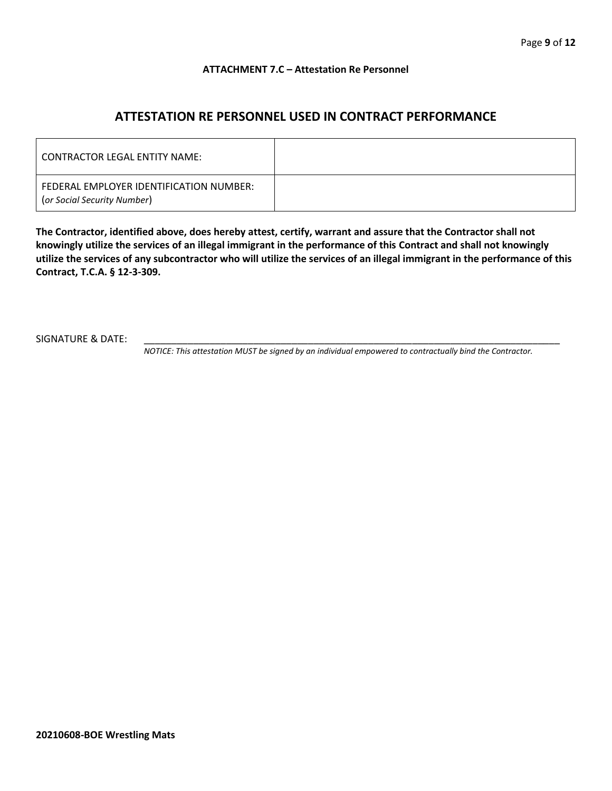#### **ATTACHMENT 7.C – Attestation Re Personnel**

## **ATTESTATION RE PERSONNEL USED IN CONTRACT PERFORMANCE**

| CONTRACTOR LEGAL ENTITY NAME:                                          |  |
|------------------------------------------------------------------------|--|
| FEDERAL EMPLOYER IDENTIFICATION NUMBER:<br>(or Social Security Number) |  |

**The Contractor, identified above, does hereby attest, certify, warrant and assure that the Contractor shall not knowingly utilize the services of an illegal immigrant in the performance of this Contract and shall not knowingly utilize the services of any subcontractor who will utilize the services of an illegal immigrant in the performance of this Contract, T.C.A. § 12-3-309.**

SIGNATURE & DATE:

*NOTICE: This attestation MUST be signed by an individual empowered to contractually bind the Contractor.*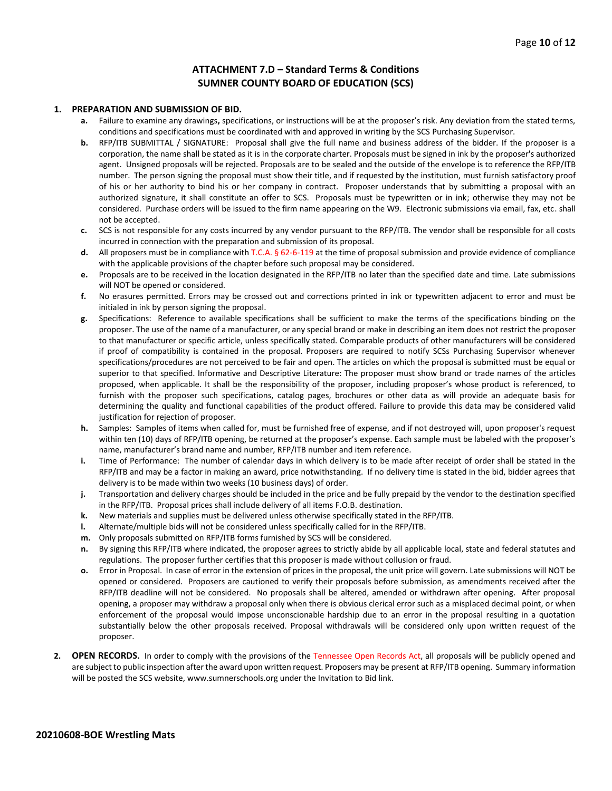#### **ATTACHMENT 7.D – Standard Terms & Conditions SUMNER COUNTY BOARD OF EDUCATION (SCS)**

#### **1. PREPARATION AND SUBMISSION OF BID.**

- **a.** Failure to examine any drawings**,** specifications, or instructions will be at the proposer's risk. Any deviation from the stated terms, conditions and specifications must be coordinated with and approved in writing by the SCS Purchasing Supervisor.
- **b.** RFP/ITB SUBMITTAL / SIGNATURE: Proposal shall give the full name and business address of the bidder. If the proposer is a corporation, the name shall be stated as it is in the corporate charter. Proposals must be signed in ink by the proposer's authorized agent. Unsigned proposals will be rejected. Proposals are to be sealed and the outside of the envelope is to reference the RFP/ITB number. The person signing the proposal must show their title, and if requested by the institution, must furnish satisfactory proof of his or her authority to bind his or her company in contract. Proposer understands that by submitting a proposal with an authorized signature, it shall constitute an offer to SCS. Proposals must be typewritten or in ink; otherwise they may not be considered. Purchase orders will be issued to the firm name appearing on the W9. Electronic submissions via email, fax, etc. shall not be accepted.
- **c.** SCS is not responsible for any costs incurred by any vendor pursuant to the RFP/ITB. The vendor shall be responsible for all costs incurred in connection with the preparation and submission of its proposal.
- **d.** All proposers must be in compliance with T.C.A. § 62-6-119 at the time of proposal submission and provide evidence of compliance with the applicable provisions of the chapter before such proposal may be considered.
- **e.** Proposals are to be received in the location designated in the RFP/ITB no later than the specified date and time. Late submissions will NOT be opened or considered.
- **f.** No erasures permitted. Errors may be crossed out and corrections printed in ink or typewritten adjacent to error and must be initialed in ink by person signing the proposal.
- **g.** Specifications: Reference to available specifications shall be sufficient to make the terms of the specifications binding on the proposer. The use of the name of a manufacturer, or any special brand or make in describing an item does not restrict the proposer to that manufacturer or specific article, unless specifically stated. Comparable products of other manufacturers will be considered if proof of compatibility is contained in the proposal. Proposers are required to notify SCSs Purchasing Supervisor whenever specifications/procedures are not perceived to be fair and open. The articles on which the proposal is submitted must be equal or superior to that specified. Informative and Descriptive Literature: The proposer must show brand or trade names of the articles proposed, when applicable. It shall be the responsibility of the proposer, including proposer's whose product is referenced, to furnish with the proposer such specifications, catalog pages, brochures or other data as will provide an adequate basis for determining the quality and functional capabilities of the product offered. Failure to provide this data may be considered valid justification for rejection of proposer.
- **h.** Samples: Samples of items when called for, must be furnished free of expense, and if not destroyed will, upon proposer's request within ten (10) days of RFP/ITB opening, be returned at the proposer's expense. Each sample must be labeled with the proposer's name, manufacturer's brand name and number, RFP/ITB number and item reference.
- **i.** Time of Performance: The number of calendar days in which delivery is to be made after receipt of order shall be stated in the RFP/ITB and may be a factor in making an award, price notwithstanding. If no delivery time is stated in the bid, bidder agrees that delivery is to be made within two weeks (10 business days) of order.
- **j.** Transportation and delivery charges should be included in the price and be fully prepaid by the vendor to the destination specified in the RFP/ITB. Proposal prices shall include delivery of all items F.O.B. destination.
- **k.** New materials and supplies must be delivered unless otherwise specifically stated in the RFP/ITB.
- **l.** Alternate/multiple bids will not be considered unless specifically called for in the RFP/ITB.
- **m.** Only proposals submitted on RFP/ITB forms furnished by SCS will be considered.
- **n.** By signing this RFP/ITB where indicated, the proposer agrees to strictly abide by all applicable local, state and federal statutes and regulations. The proposer further certifies that this proposer is made without collusion or fraud.
- **o.** Error in Proposal. In case of error in the extension of prices in the proposal, the unit price will govern. Late submissions will NOT be opened or considered. Proposers are cautioned to verify their proposals before submission, as amendments received after the RFP/ITB deadline will not be considered. No proposals shall be altered, amended or withdrawn after opening. After proposal opening, a proposer may withdraw a proposal only when there is obvious clerical error such as a misplaced decimal point, or when enforcement of the proposal would impose unconscionable hardship due to an error in the proposal resulting in a quotation substantially below the other proposals received. Proposal withdrawals will be considered only upon written request of the proposer.
- **2. OPEN RECORDS.** In order to comply with the provisions of the Tennessee Open Records Act, all proposals will be publicly opened and are subject to public inspection after the award upon written request. Proposers may be present at RFP/ITB opening. Summary information will be posted the SCS website, www.sumnerschools.org under the Invitation to Bid link.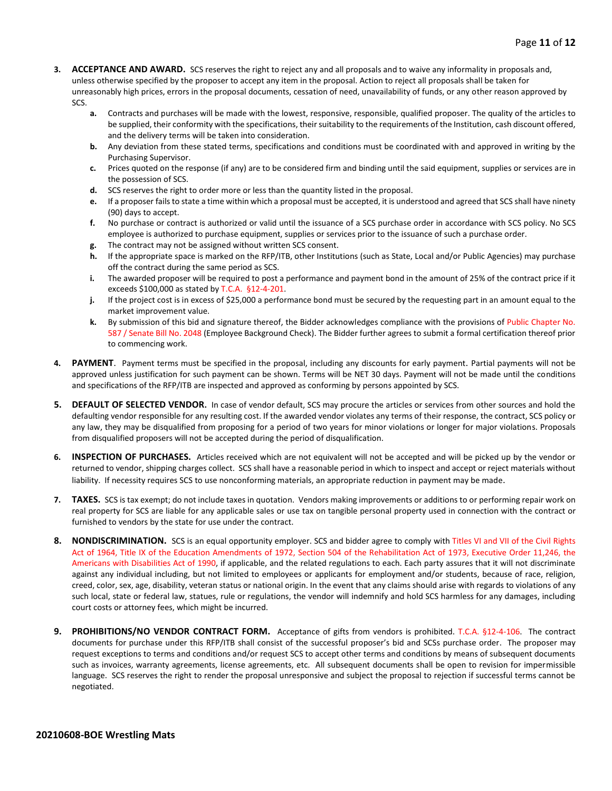- **3. ACCEPTANCE AND AWARD.** SCS reserves the right to reject any and all proposals and to waive any informality in proposals and, unless otherwise specified by the proposer to accept any item in the proposal. Action to reject all proposals shall be taken for unreasonably high prices, errors in the proposal documents, cessation of need, unavailability of funds, or any other reason approved by SCS.
	- **a.** Contracts and purchases will be made with the lowest, responsive, responsible, qualified proposer. The quality of the articles to be supplied, their conformity with the specifications, their suitability to the requirements of the Institution, cash discount offered, and the delivery terms will be taken into consideration.
	- **b.** Any deviation from these stated terms, specifications and conditions must be coordinated with and approved in writing by the Purchasing Supervisor.
	- **c.** Prices quoted on the response (if any) are to be considered firm and binding until the said equipment, supplies or services are in the possession of SCS.
	- **d.** SCS reserves the right to order more or less than the quantity listed in the proposal.
	- **e.** If a proposer fails to state a time within which a proposal must be accepted, it is understood and agreed that SCS shall have ninety (90) days to accept.
	- **f.** No purchase or contract is authorized or valid until the issuance of a SCS purchase order in accordance with SCS policy. No SCS employee is authorized to purchase equipment, supplies or services prior to the issuance of such a purchase order.
	- **g.** The contract may not be assigned without written SCS consent.
	- **h.** If the appropriate space is marked on the RFP/ITB, other Institutions (such as State, Local and/or Public Agencies) may purchase off the contract during the same period as SCS.
	- **i.** The awarded proposer will be required to post a performance and payment bond in the amount of 25% of the contract price if it exceeds \$100,000 as stated by T.C.A. §12-4-201.
	- **j.** If the project cost is in excess of \$25,000 a performance bond must be secured by the requesting part in an amount equal to the market improvement value.
	- **k.** By submission of this bid and signature thereof, the Bidder acknowledges compliance with the provisions of Public Chapter No. 587 / Senate Bill No. 2048 (Employee Background Check). The Bidder further agrees to submit a formal certification thereof prior to commencing work.
- **4. PAYMENT**. Payment terms must be specified in the proposal, including any discounts for early payment. Partial payments will not be approved unless justification for such payment can be shown. Terms will be NET 30 days. Payment will not be made until the conditions and specifications of the RFP/ITB are inspected and approved as conforming by persons appointed by SCS.
- **5. DEFAULT OF SELECTED VENDOR.** In case of vendor default, SCS may procure the articles or services from other sources and hold the defaulting vendor responsible for any resulting cost. If the awarded vendor violates any terms of their response, the contract, SCS policy or any law, they may be disqualified from proposing for a period of two years for minor violations or longer for major violations. Proposals from disqualified proposers will not be accepted during the period of disqualification.
- **6. INSPECTION OF PURCHASES.** Articles received which are not equivalent will not be accepted and will be picked up by the vendor or returned to vendor, shipping charges collect. SCS shall have a reasonable period in which to inspect and accept or reject materials without liability. If necessity requires SCS to use nonconforming materials, an appropriate reduction in payment may be made.
- **7. TAXES.** SCS is tax exempt; do not include taxes in quotation. Vendors making improvements or additions to or performing repair work on real property for SCS are liable for any applicable sales or use tax on tangible personal property used in connection with the contract or furnished to vendors by the state for use under the contract.
- **8. NONDISCRIMINATION.** SCS is an equal opportunity employer. SCS and bidder agree to comply with Titles VI and VII of the Civil Rights Act of 1964, Title IX of the Education Amendments of 1972, Section 504 of the Rehabilitation Act of 1973, Executive Order 11,246, the Americans with Disabilities Act of 1990, if applicable, and the related regulations to each. Each party assures that it will not discriminate against any individual including, but not limited to employees or applicants for employment and/or students, because of race, religion, creed, color, sex, age, disability, veteran status or national origin. In the event that any claims should arise with regards to violations of any such local, state or federal law, statues, rule or regulations, the vendor will indemnify and hold SCS harmless for any damages, including court costs or attorney fees, which might be incurred.
- **9. PROHIBITIONS/NO VENDOR CONTRACT FORM.** Acceptance of gifts from vendors is prohibited. T.C.A. §12-4-106. The contract documents for purchase under this RFP/ITB shall consist of the successful proposer's bid and SCSs purchase order. The proposer may request exceptions to terms and conditions and/or request SCS to accept other terms and conditions by means of subsequent documents such as invoices, warranty agreements, license agreements, etc. All subsequent documents shall be open to revision for impermissible language. SCS reserves the right to render the proposal unresponsive and subject the proposal to rejection if successful terms cannot be negotiated.